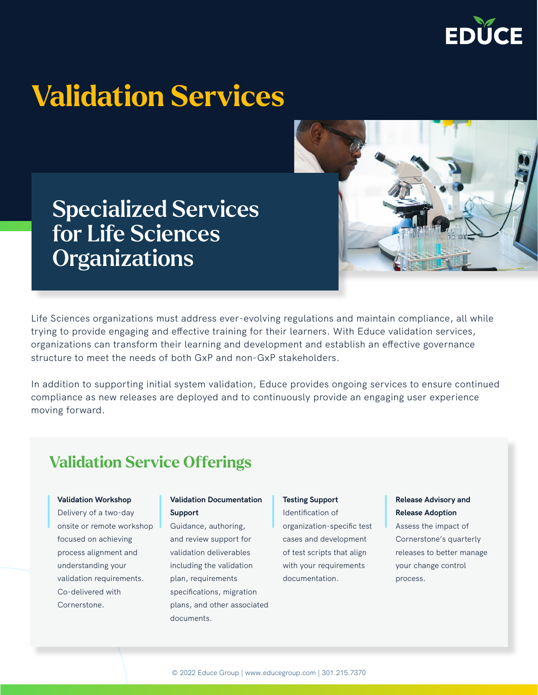

# Validation Services

## Specialized Services for Life Sciences **Organizations**



In addition to supporting initial system validation, Educe provides ongoing services to ensure continued compliance as new releases are deployed and to continuously provide an engaging user experience moving forward.

### Validation Service Offerings

#### **Validation Workshop**

Delivery of a two-day onsite or remote workshop focused on achieving process alignment and understanding your validation requirements. Co-delivered with Cornerstone.

#### **Validation Documentation Support**

Guidance, authoring, and review support for validation deliverables including the validation plan, requirements specifications, migration plans, and other associated documents.

#### **Testing Support**

Identification of organization-specific test cases and development of test scripts that align with your requirements documentation.

#### **Release Advisory and Release Adoption**

Assess the impact of Cornerstone's quarterly releases to better manage your change control process.